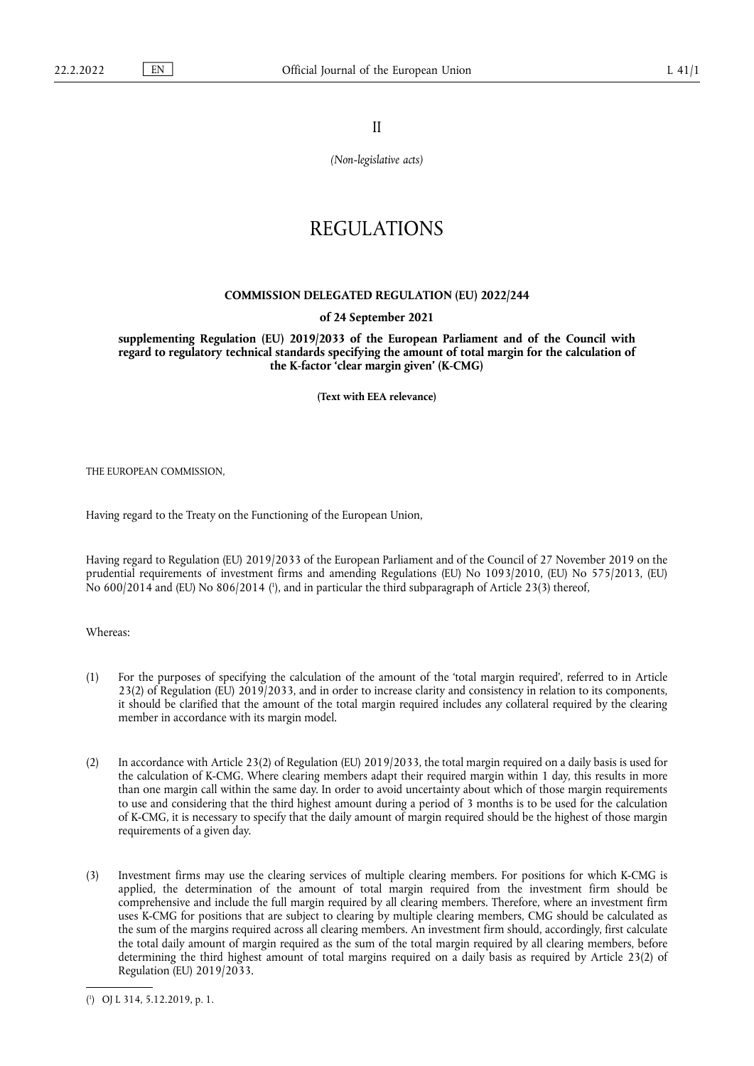II

*(Non-legislative acts)*

# REGULATIONS

## **COMMISSION DELEGATED REGULATION (EU) 2022/244**

#### **of 24 September 2021**

**supplementing Regulation (EU) 2019/2033 of the European Parliament and of the Council with regard to regulatory technical standards specifying the amount of total margin for the calculation of the K-factor 'clear margin given' (K-CMG)** 

**(Text with EEA relevance)** 

THE EUROPEAN COMMISSION,

Having regard to the Treaty on the Functioning of the European Union,

<span id="page-0-1"></span>Having regard to Regulation (EU) 2019/2033 of the European Parliament and of the Council of 27 November 2019 on the prudential requirements of investment firms and amending Regulations (EU) No 1093/2010, (EU) No 575/2013, (EU) No 600/2014 and (EU) No 806/2014 ( 1 [\),](#page-0-0) and in particular the third subparagraph of Article 23(3) thereof,

Whereas:

- (1) For the purposes of specifying the calculation of the amount of the 'total margin required', referred to in Article 23(2) of Regulation (EU) 2019/2033, and in order to increase clarity and consistency in relation to its components, it should be clarified that the amount of the total margin required includes any collateral required by the clearing member in accordance with its margin model.
- (2) In accordance with Article 23(2) of Regulation (EU) 2019/2033, the total margin required on a daily basis is used for the calculation of K-CMG. Where clearing members adapt their required margin within 1 day, this results in more than one margin call within the same day. In order to avoid uncertainty about which of those margin requirements to use and considering that the third highest amount during a period of 3 months is to be used for the calculation of K-CMG, it is necessary to specify that the daily amount of margin required should be the highest of those margin requirements of a given day.
- (3) Investment firms may use the clearing services of multiple clearing members. For positions for which K-CMG is applied, the determination of the amount of total margin required from the investment firm should be comprehensive and include the full margin required by all clearing members. Therefore, where an investment firm uses K-CMG for positions that are subject to clearing by multiple clearing members, CMG should be calculated as the sum of the margins required across all clearing members. An investment firm should, accordingly, first calculate the total daily amount of margin required as the sum of the total margin required by all clearing members, before determining the third highest amount of total margins required on a daily basis as required by Article 23(2) of Regulation (EU) 2019/2033.

<span id="page-0-0"></span>[<sup>\(</sup>](#page-0-1) 1 ) OJ L 314, 5.12.2019, p. 1.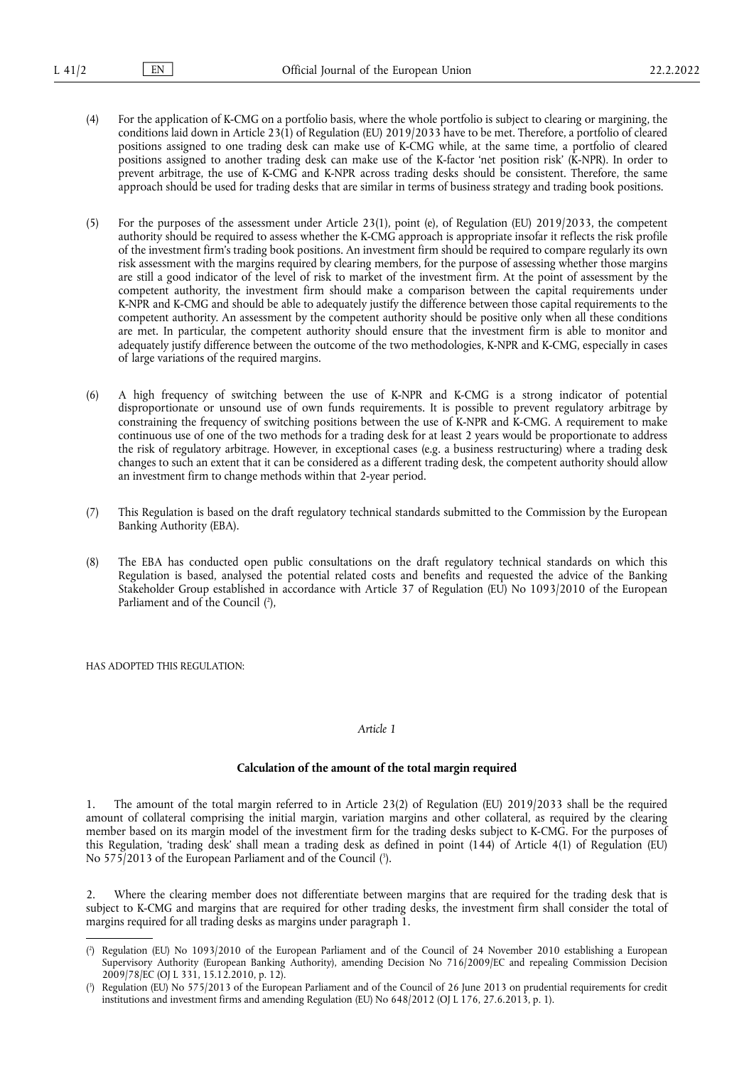- (4) For the application of K-CMG on a portfolio basis, where the whole portfolio is subject to clearing or margining, the conditions laid down in Article 23(1) of Regulation (EU) 2019/2033 have to be met. Therefore, a portfolio of cleared positions assigned to one trading desk can make use of K-CMG while, at the same time, a portfolio of cleared positions assigned to another trading desk can make use of the K-factor 'net position risk' (K-NPR). In order to prevent arbitrage, the use of K-CMG and K-NPR across trading desks should be consistent. Therefore, the same approach should be used for trading desks that are similar in terms of business strategy and trading book positions.
- (5) For the purposes of the assessment under Article 23(1), point (e), of Regulation (EU) 2019/2033, the competent authority should be required to assess whether the K-CMG approach is appropriate insofar it reflects the risk profile of the investment firm's trading book positions. An investment firm should be required to compare regularly its own risk assessment with the margins required by clearing members, for the purpose of assessing whether those margins are still a good indicator of the level of risk to market of the investment firm. At the point of assessment by the competent authority, the investment firm should make a comparison between the capital requirements under K-NPR and K-CMG and should be able to adequately justify the difference between those capital requirements to the competent authority. An assessment by the competent authority should be positive only when all these conditions are met. In particular, the competent authority should ensure that the investment firm is able to monitor and adequately justify difference between the outcome of the two methodologies, K-NPR and K-CMG, especially in cases of large variations of the required margins.
- (6) A high frequency of switching between the use of K-NPR and K-CMG is a strong indicator of potential disproportionate or unsound use of own funds requirements. It is possible to prevent regulatory arbitrage by constraining the frequency of switching positions between the use of K-NPR and K-CMG. A requirement to make continuous use of one of the two methods for a trading desk for at least 2 years would be proportionate to address the risk of regulatory arbitrage. However, in exceptional cases (e.g. a business restructuring) where a trading desk changes to such an extent that it can be considered as a different trading desk, the competent authority should allow an investment firm to change methods within that 2-year period.
- (7) This Regulation is based on the draft regulatory technical standards submitted to the Commission by the European Banking Authority (EBA).
- <span id="page-1-2"></span>(8) The EBA has conducted open public consultations on the draft regulatory technical standards on which this Regulation is based, analysed the potential related costs and benefits and requested the advice of the Banking Stakeholder Group established in accordance with Article 37 of Regulation (EU) No 1093/2010 of the European Parliament and of the Council (?[\),](#page-1-0)

HAS ADOPTED THIS REGULATION:

#### *Article 1*

## **Calculation of the amount of the total margin required**

1. The amount of the total margin referred to in Article 23(2) of Regulation (EU) 2019/2033 shall be the required amount of collateral comprising the initial margin, variation margins and other collateral, as required by the clearing member based on its margin model of the investment firm for the trading desks subject to K-CMG. For the purposes of this Regulation, 'trading desk' shall mean a trading desk as defined in point (144) of Article 4(1) of Regulation (EU) No 575/2013 of the European Parliament and of the Council [\(](#page-1-1) 3 ).

<span id="page-1-3"></span>2. Where the clearing member does not differentiate between margins that are required for the trading desk that is subject to K-CMG and margins that are required for other trading desks, the investment firm shall consider the total of margins required for all trading desks as margins under paragraph 1.

<span id="page-1-0"></span>[<sup>\(</sup>](#page-1-2) 2 ) Regulation (EU) No 1093/2010 of the European Parliament and of the Council of 24 November 2010 establishing a European Supervisory Authority (European Banking Authority), amending Decision No 716/2009/EC and repealing Commission Decision 2009/78/EC (OJ L 331, 15.12.2010, p. 12).

<span id="page-1-1"></span>[<sup>\(</sup>](#page-1-3) 3 ) Regulation (EU) No 575/2013 of the European Parliament and of the Council of 26 June 2013 on prudential requirements for credit institutions and investment firms and amending Regulation (EU) No 648/2012 (OJ L 176, 27.6.2013, p. 1).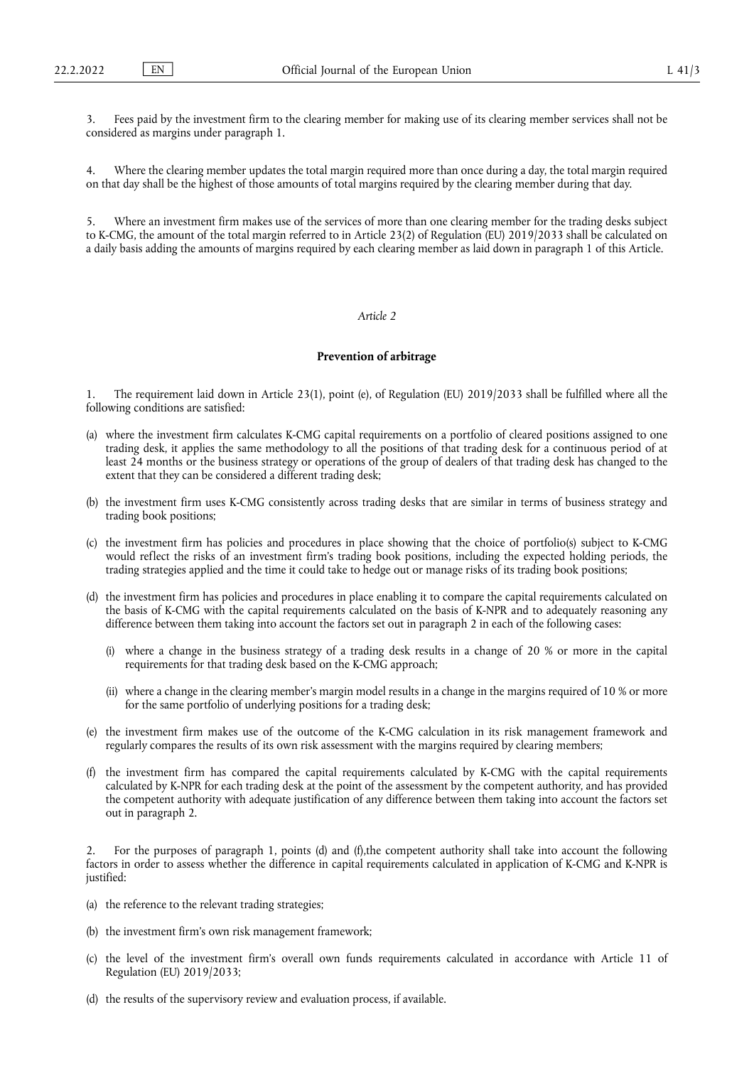Fees paid by the investment firm to the clearing member for making use of its clearing member services shall not be considered as margins under paragraph 1.

4. Where the clearing member updates the total margin required more than once during a day, the total margin required on that day shall be the highest of those amounts of total margins required by the clearing member during that day.

5. Where an investment firm makes use of the services of more than one clearing member for the trading desks subject to K-CMG, the amount of the total margin referred to in Article 23(2) of Regulation (EU) 2019/2033 shall be calculated on a daily basis adding the amounts of margins required by each clearing member as laid down in paragraph 1 of this Article.

## *Article 2*

#### **Prevention of arbitrage**

1. The requirement laid down in Article 23(1), point (e), of Regulation (EU) 2019/2033 shall be fulfilled where all the following conditions are satisfied:

- (a) where the investment firm calculates K-CMG capital requirements on a portfolio of cleared positions assigned to one trading desk, it applies the same methodology to all the positions of that trading desk for a continuous period of at least 24 months or the business strategy or operations of the group of dealers of that trading desk has changed to the extent that they can be considered a different trading desk;
- (b) the investment firm uses K-CMG consistently across trading desks that are similar in terms of business strategy and trading book positions;
- (c) the investment firm has policies and procedures in place showing that the choice of portfolio(s) subject to K-CMG would reflect the risks of an investment firm's trading book positions, including the expected holding periods, the trading strategies applied and the time it could take to hedge out or manage risks of its trading book positions;
- (d) the investment firm has policies and procedures in place enabling it to compare the capital requirements calculated on the basis of K-CMG with the capital requirements calculated on the basis of K-NPR and to adequately reasoning any difference between them taking into account the factors set out in paragraph 2 in each of the following cases:
	- (i) where a change in the business strategy of a trading desk results in a change of 20 % or more in the capital requirements for that trading desk based on the K-CMG approach;
	- (ii) where a change in the clearing member's margin model results in a change in the margins required of 10 % or more for the same portfolio of underlying positions for a trading desk;
- (e) the investment firm makes use of the outcome of the K-CMG calculation in its risk management framework and regularly compares the results of its own risk assessment with the margins required by clearing members;
- (f) the investment firm has compared the capital requirements calculated by K-CMG with the capital requirements calculated by K-NPR for each trading desk at the point of the assessment by the competent authority, and has provided the competent authority with adequate justification of any difference between them taking into account the factors set out in paragraph 2.

2. For the purposes of paragraph 1, points (d) and (f),the competent authority shall take into account the following factors in order to assess whether the difference in capital requirements calculated in application of K-CMG and K-NPR is justified:

- (a) the reference to the relevant trading strategies;
- (b) the investment firm's own risk management framework;
- (c) the level of the investment firm's overall own funds requirements calculated in accordance with Article 11 of Regulation (EU) 2019/2033;
- (d) the results of the supervisory review and evaluation process, if available.